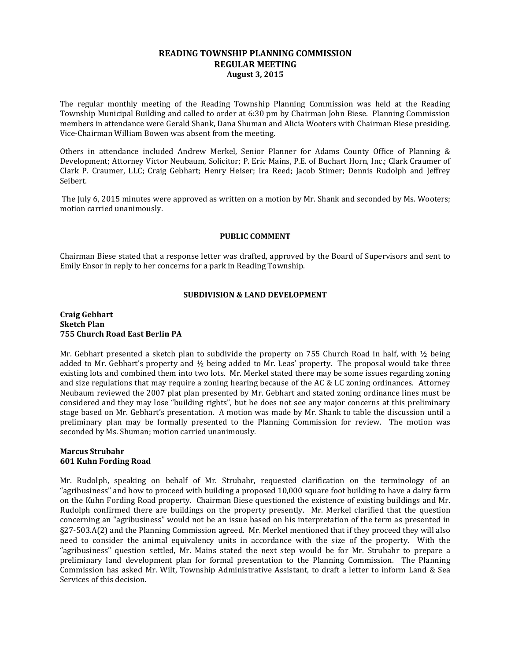## **READING TOWNSHIP PLANNING COMMISSION REGULAR MEETING August 3, 2015**

The regular monthly meeting of the Reading Township Planning Commission was held at the Reading Township Municipal Building and called to order at 6:30 pm by Chairman John Biese. Planning Commission members in attendance were Gerald Shank, Dana Shuman and Alicia Wooters with Chairman Biese presiding. Vice-Chairman William Bowen was absent from the meeting.

Others in attendance included Andrew Merkel, Senior Planner for Adams County Office of Planning & Development; Attorney Victor Neubaum, Solicitor; P. Eric Mains, P.E. of Buchart Horn, Inc.; Clark Craumer of Clark P. Craumer, LLC; Craig Gebhart; Henry Heiser; Ira Reed; Jacob Stimer; Dennis Rudolph and Jeffrey Seibert.

The July 6, 2015 minutes were approved as written on a motion by Mr. Shank and seconded by Ms. Wooters; motion carried unanimously.

#### **PUBLIC COMMENT**

Chairman Biese stated that a response letter was drafted, approved by the Board of Supervisors and sent to Emily Ensor in reply to her concerns for a park in Reading Township.

#### **SUBDIVISION & LAND DEVELOPMENT**

#### **Craig Gebhart Sketch Plan 755 Church Road East Berlin PA**

Mr. Gebhart presented a sketch plan to subdivide the property on 755 Church Road in half, with ½ being added to Mr. Gebhart's property and ½ being added to Mr. Leas' property. The proposal would take three existing lots and combined them into two lots. Mr. Merkel stated there may be some issues regarding zoning and size regulations that may require a zoning hearing because of the AC & LC zoning ordinances. Attorney Neubaum reviewed the 2007 plat plan presented by Mr. Gebhart and stated zoning ordinance lines must be considered and they may lose "building rights", but he does not see any major concerns at this preliminary stage based on Mr. Gebhart's presentation. A motion was made by Mr. Shank to table the discussion until a preliminary plan may be formally presented to the Planning Commission for review. The motion was seconded by Ms. Shuman; motion carried unanimously.

#### **Marcus Strubahr 601 Kuhn Fording Road**

Mr. Rudolph, speaking on behalf of Mr. Strubahr, requested clarification on the terminology of an "agribusiness" and how to proceed with building a proposed 10,000 square foot building to have a dairy farm on the Kuhn Fording Road property. Chairman Biese questioned the existence of existing buildings and Mr. Rudolph confirmed there are buildings on the property presently. Mr. Merkel clarified that the question concerning an "agribusiness" would not be an issue based on his interpretation of the term as presented in §27-503.A(2) and the Planning Commission agreed. Mr. Merkel mentioned that if they proceed they will also need to consider the animal equivalency units in accordance with the size of the property. With the "agribusiness" question settled, Mr. Mains stated the next step would be for Mr. Strubahr to prepare a preliminary land development plan for formal presentation to the Planning Commission. The Planning Commission has asked Mr. Wilt, Township Administrative Assistant, to draft a letter to inform Land & Sea Services of this decision.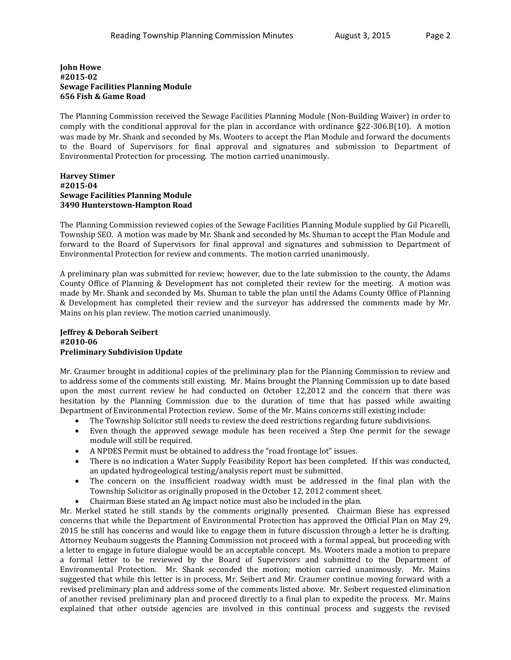### **John Howe #2015-02 Sewage Facilities Planning Module 656 Fish & Game Road**

The Planning Commission received the Sewage Facilities Planning Module (Non-Building Waiver) in order to comply with the conditional approval for the plan in accordance with ordinance §22-306.B(10). A motion was made by Mr. Shank and seconded by Ms. Wooters to accept the Plan Module and forward the documents to the Board of Supervisors for final approval and signatures and submission to Department of Environmental Protection for processing. The motion carried unanimously.

## **Harvey Stimer #2015-04 Sewage Facilities Planning Module 3490 Hunterstown-Hampton Road**

The Planning Commission reviewed copies of the Sewage Facilities Planning Module supplied by Gil Picarelli, Township SEO. A motion was made by Mr. Shank and seconded by Ms. Shuman to accept the Plan Module and forward to the Board of Supervisors for final approval and signatures and submission to Department of Environmental Protection for review and comments. The motion carried unanimously.

A preliminary plan was submitted for review; however, due to the late submission to the county, the Adams County Office of Planning & Development has not completed their review for the meeting. A motion was made by Mr. Shank and seconded by Ms. Shuman to table the plan until the Adams County Office of Planning & Development has completed their review and the surveyor has addressed the comments made by Mr. Mains on his plan review. The motion carried unanimously.

## **Jeffrey & Deborah Seibert #2010-06 Preliminary Subdivision Update**

Mr. Craumer brought in additional copies of the preliminary plan for the Planning Commission to review and to address some of the comments still existing. Mr. Mains brought the Planning Commission up to date based upon the most current review he had conducted on October 12,2012 and the concern that there was hesitation by the Planning Commission due to the duration of time that has passed while awaiting Department of Environmental Protection review. Some of the Mr. Mains concerns still existing include:

- The Township Solicitor still needs to review the deed restrictions regarding future subdivisions.
- Even though the approved sewage module has been received a Step One permit for the sewage module will still be required.
- A NPDES Permit must be obtained to address the "road frontage lot" issues.
- There is no indication a Water Supply Feasibility Report has been completed. If this was conducted, an updated hydrogeological testing/analysis report must be submitted.
- The concern on the insufficient roadway width must be addressed in the final plan with the Township Solicitor as originally proposed in the October 12, 2012 comment sheet.
- Chairman Biese stated an Ag impact notice must also be included in the plan.

Mr. Merkel stated he still stands by the comments originally presented. Chairman Biese has expressed concerns that while the Department of Environmental Protection has approved the Official Plan on May 29, 2015 he still has concerns and would like to engage them in future discussion through a letter he is drafting. Attorney Neubaum suggests the Planning Commission not proceed with a formal appeal, but proceeding with a letter to engage in future dialogue would be an acceptable concept. Ms. Wooters made a motion to prepare a formal letter to be reviewed by the Board of Supervisors and submitted to the Department of Environmental Protection. Mr. Shank seconded the motion; motion carried unanimously. Mr. Mains suggested that while this letter is in process, Mr. Seibert and Mr. Craumer continue moving forward with a revised preliminary plan and address some of the comments listed above. Mr. Seibert requested elimination of another revised preliminary plan and proceed directly to a final plan to expedite the process. Mr. Mains explained that other outside agencies are involved in this continual process and suggests the revised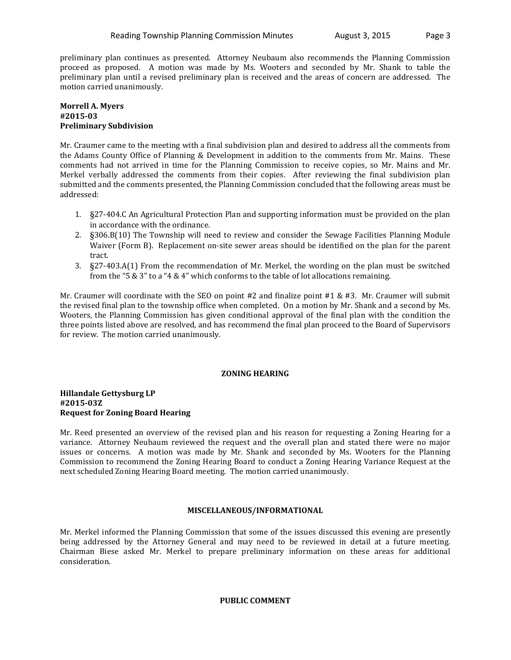preliminary plan continues as presented. Attorney Neubaum also recommends the Planning Commission proceed as proposed. A motion was made by Ms. Wooters and seconded by Mr. Shank to table the preliminary plan until a revised preliminary plan is received and the areas of concern are addressed. The motion carried unanimously.

## **Morrell A. Myers #2015-03 Preliminary Subdivision**

Mr. Craumer came to the meeting with a final subdivision plan and desired to address all the comments from the Adams County Office of Planning & Development in addition to the comments from Mr. Mains. These comments had not arrived in time for the Planning Commission to receive copies, so Mr. Mains and Mr. Merkel verbally addressed the comments from their copies. After reviewing the final subdivision plan submitted and the comments presented, the Planning Commission concluded that the following areas must be addressed:

- 1. §27-404.C An Agricultural Protection Plan and supporting information must be provided on the plan in accordance with the ordinance.
- 2. §306.B(10) The Township will need to review and consider the Sewage Facilities Planning Module Waiver (Form B). Replacement on-site sewer areas should be identified on the plan for the parent tract.
- 3. §27-403.A(1) From the recommendation of Mr. Merkel, the wording on the plan must be switched from the "5 & 3" to a "4 & 4" which conforms to the table of lot allocations remaining.

Mr. Craumer will coordinate with the SEO on point #2 and finalize point #1 & #3. Mr. Craumer will submit the revised final plan to the township office when completed. On a motion by Mr. Shank and a second by Ms. Wooters, the Planning Commission has given conditional approval of the final plan with the condition the three points listed above are resolved, and has recommend the final plan proceed to the Board of Supervisors for review. The motion carried unanimously.

# **ZONING HEARING**

## **Hillandale Gettysburg LP #2015-03Z Request for Zoning Board Hearing**

Mr. Reed presented an overview of the revised plan and his reason for requesting a Zoning Hearing for a variance. Attorney Neubaum reviewed the request and the overall plan and stated there were no major issues or concerns. A motion was made by Mr. Shank and seconded by Ms. Wooters for the Planning Commission to recommend the Zoning Hearing Board to conduct a Zoning Hearing Variance Request at the next scheduled Zoning Hearing Board meeting. The motion carried unanimously.

# **MISCELLANEOUS/INFORMATIONAL**

Mr. Merkel informed the Planning Commission that some of the issues discussed this evening are presently being addressed by the Attorney General and may need to be reviewed in detail at a future meeting. Chairman Biese asked Mr. Merkel to prepare preliminary information on these areas for additional consideration.

## **PUBLIC COMMENT**